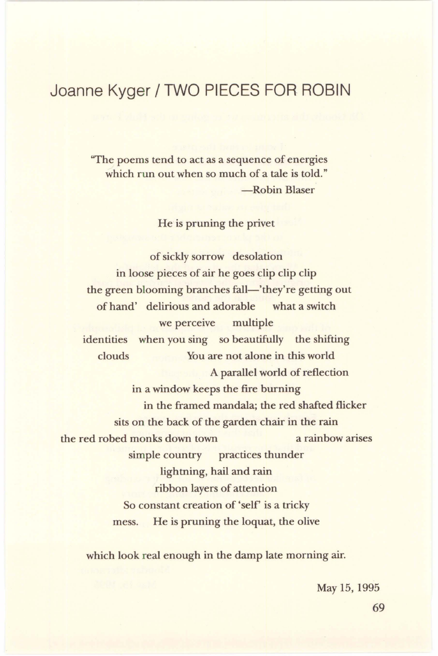## **Joanne Kyger/ TWO PIECES FOR-ROBIN**

''The poems tend to act as a sequence of energies which run out when so much of a tale is told." -Robin Blaser

He is pruning the privet

of sickly sorrow desolation in loose pieces of air he goes clip clip clip the green blooming branches fall—'they're getting out of hand' delirious and adorable what a switch we perceive multiple identities when you sing so beautifully the shifting clouds You are not alone in this world A parallel world of reflection in a window keeps the fire burning in the framed mandala; the red shafted flicker sits on the back of the garden chair in the rain the red robed monks down town a rainbow arises simple country practices thunder lightning, hail and rain ribbon layers of attention So constant creation of 'self' is a tricky mess. He is pruning the loquat, the olive

which look real enough in the damp late morning air.

May 15, 1995